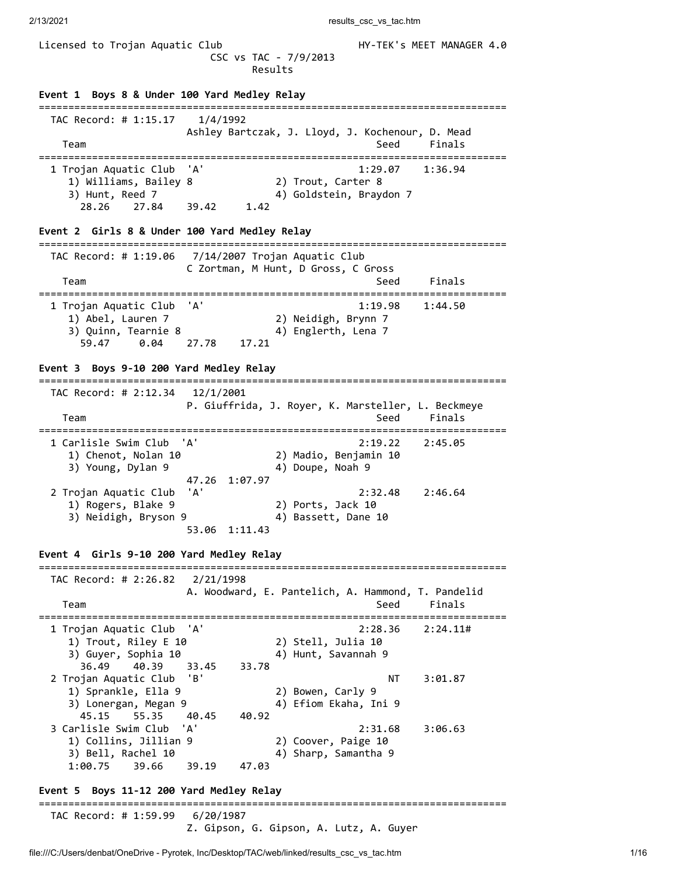Licensed to Trojan Aquatic Club **HY-TEK's MEET MANAGER 4.0**  CSC vs TAC - 7/9/2013 Results **Event 1 Boys 8 & Under 100 Yard Medley Relay** =============================================================================== TAC Record: # 1:15.17 1/4/1992 Ashley Bartczak, J. Lloyd, J. Kochenour, D. Mead Team Seed Finals =============================================================================== 1 Trojan Aquatic Club 'A' 1:29.07 1:36.94 1) Williams, Bailey 8 2) Trout, Carter 8 3) Hunt, Reed 7 4) Goldstein, Braydon 7 28.26 27.84 39.42 1.42 **Event 2 Girls 8 & Under 100 Yard Medley Relay** =============================================================================== TAC Record: # 1:19.06 7/14/2007 Trojan Aquatic Club C Zortman, M Hunt, D Gross, C Gross Team Seed Finals =============================================================================== 1 Trojan Aquatic Club 'A' 1:19.98 1:44.50 1) Abel, Lauren 7 2) Neidigh, Brynn 7 3) Quinn, Tearnie 8 4) Englerth, Lena 7 59.47 0.04 27.78 17.21 **Event 3 Boys 9-10 200 Yard Medley Relay** =============================================================================== TAC Record: # 2:12.34 12/1/2001 P. Giuffrida, J. Royer, K. Marsteller, L. Beckmeye Team Seed Finals =============================================================================== 1 Carlisle Swim Club 'A' 2:19.22 2:45.05 1) Chenot, Nolan 10 2) Madio, Benjamin 10 3) Young, Dylan 9  $\hskip1cm \hskip1cm 4$ ) Doupe, Noah 9 47.26 1:07.97 2 Trojan Aquatic Club 'A' 2:32.48 2:46.64 1) Rogers, Blake 9 2) Ports, Jack 10 3) Neidigh, Bryson 9 4) Bassett, Dane 10 53.06 1:11.43 **Event 4 Girls 9-10 200 Yard Medley Relay** =============================================================================== TAC Record: # 2:26.82 2/21/1998 A. Woodward, E. Pantelich, A. Hammond, T. Pandelid Team Seed Finals =============================================================================== 1 Trojan Aquatic Club 'A' 2:28.36 2:24.11# 1) Trout, Riley E 10 2) Stell, Julia 10 3) Guyer, Sophia 10 4) Hunt, Savannah 9 36.49 40.39 33.45 33.78 2 Trojan Aquatic Club 'B' NT 3:01.87 1) Sprankle, Ella 9 2) Bowen, Carly 9 3) Lonergan, Megan 9 4) Efiom Ekaha, Ini 9 1 Junions, 2014<br>
1 Lonergan, Megan 9<br>
15.15 55.35 40.45 40.92 3 Carlisle Swim Club 'A' 2:31.68 3:06.63 1) Collins, Jillian 9 2) Coover, Paige 10 3) Bell, Rachel 10 4) Sharp, Samantha 9 1:00.75 39.66 39.19 47.03 **Event 5 Boys 11-12 200 Yard Medley Relay** =============================================================================== TAC Record: # 1:59.99 6/20/1987 Z. Gipson, G. Gipson, A. Lutz, A. Guyer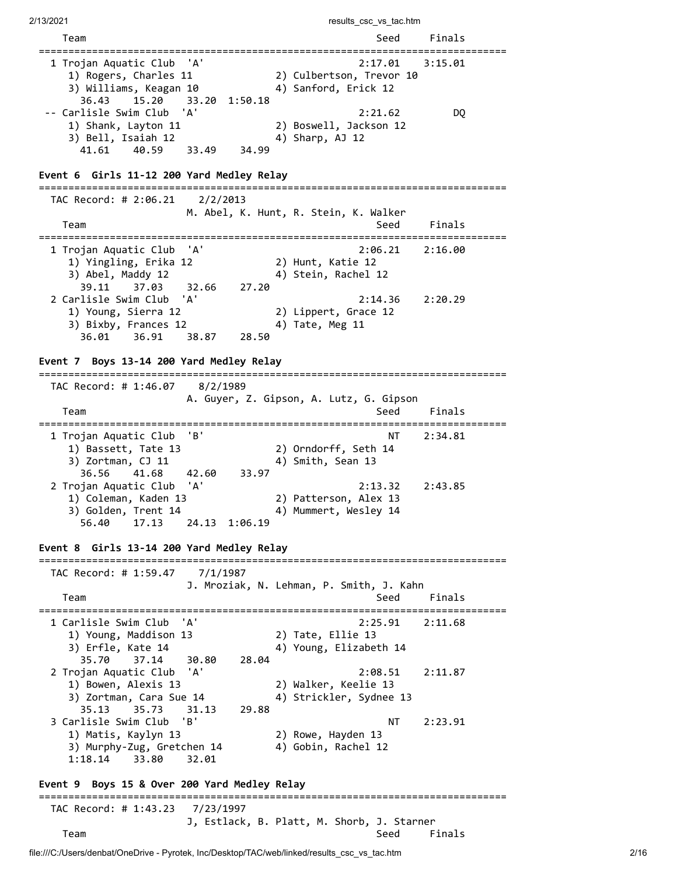2/13/2021 **results** csc vs tac.htm file:///C:/Users/denbat/OneDrive - Pyrotek, Inc/Desktop/TAC/web/linked/results\_csc\_vs\_tac.htm 2/16 Team Seed Finals =============================================================================== 1 Trojan Aquatic Club 'A' 1) Rogers, Charles 11 2) Culbertson, Trevor 10 3) Williams, Keagan 10 4) Sanford, Erick 12 36.43 15.20 33.20 1:50.18 -- Carlisle Swim Club 'A' 2:21.62 DQ 1) Shank, Layton 11 2) Boswell, Jackson 12 3) Bell, Isaiah 12 4) Sharp, AJ 12 41.61 40.59 33.49 34.99 **Event 6 Girls 11-12 200 Yard Medley Relay** =============================================================================== TAC Record: # 2:06.21 2/2/2013 M. Abel, K. Hunt, R. Stein, K. Walker Team Seed Finals =============================================================================== 1 Trojan Aquatic Club 'A' 2:06.21 2:16.00 1) Yingling, Erika 12 2) Hunt, Katie 12 3) Abel, Maddy 12 4) Stein, Rachel 12 3) Abel, Maddy 12 (39.11 37.03 32.66 27.20 2 Carlisle Swim Club 'A' 2:14.36 2:20.29 1) Young, Sierra 12 2) Lippert, Grace 12 3) Bixby, Frances 12 4) Tate, Meg 11 36.01 36.91 38.87 28.50 **Event 7 Boys 13-14 200 Yard Medley Relay** =============================================================================== TAC Record: # 1:46.07 8/2/1989 A. Guyer, Z. Gipson, A. Lutz, G. Gipson Team Seed Finals =============================================================================== 1 Trojan Aquatic Club 'B' NT 2:34.81 1) Bassett, Tate 13 2) Orndorff, Seth 14 3) Zortman, CJ 11 4) Smith, Sean 13 36.56 41.68 42.60 33.97 2 Trojan Aquatic Club 'A' 2:13.32 2:43.85 1) Coleman, Kaden 13 2) Patterson, Alex 13 3) Golden, Trent 14  $\hskip1cm$  4) Mummert, Wesley 14 56.40 17.13 24.13 1:06.19 **Event 8 Girls 13-14 200 Yard Medley Relay** =============================================================================== TAC Record: # 1:59.47 7/1/1987 J. Mroziak, N. Lehman, P. Smith, J. Kahn Team Seed Finals =============================================================================== 1 Carlisle Swim Club 'A' 2:25.91 2:11.68 1) Young, Maddison 13 2) Tate, Ellie 13 3) Erfle, Kate 14 4) Young, Elizabeth 14 35.70 37.14 30.80 28.04 2 Trojan Aquatic Club 'A' 2:08.51 2:11.87 1) Bowen, Alexis 13 2) Walker, Keelie 13 3) Zortman, Cara Sue 14 4) Strickler, Sydnee 13 35.13 35.73 31.13 29.88 3 Carlisle Swim Club 'B' NT 2:23.91 1) Matis, Kaylyn 13 2) Rowe, Hayden 13 3) Murphy-Zug, Gretchen 14 4) Gobin, Rachel 12 1:18.14 33.80 32.01 **Event 9 Boys 15 & Over 200 Yard Medley Relay** =============================================================================== TAC Record: # 1:43.23 7/23/1997 J, Estlack, B. Platt, M. Shorb, J. Starner Team Seed Finals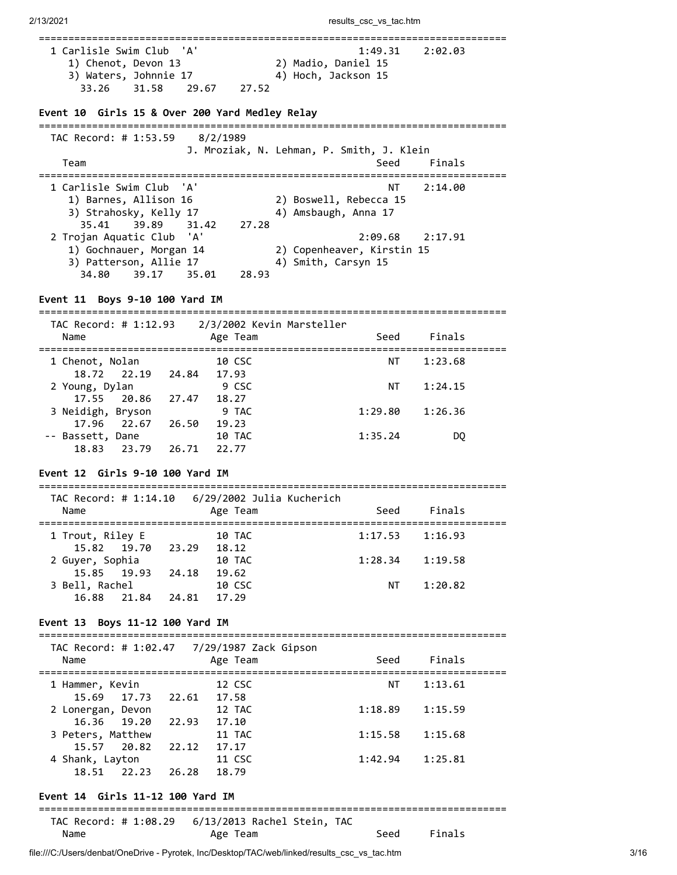| 1 Carlisle Swim Club 'A'<br>1) Chenot, Devon 13<br>3) Waters, Johnnie 17 |                                        | 2) Madio, Daniel 15<br>4) Hoch, Jackson 15 | 1:49.31 2:02.03 |
|--------------------------------------------------------------------------|----------------------------------------|--------------------------------------------|-----------------|
| 33.26 31.58                                                              | 29.67 27.52                            |                                            |                 |
| Event 10 Girls 15 & Over 200 Yard Medley Relay                           |                                        |                                            |                 |
| TAC Record: # 1:53.59 8/2/1989                                           |                                        | J. Mroziak, N. Lehman, P. Smith, J. Klein  |                 |
| Team                                                                     |                                        | Seed                                       | Finals          |
| 1 Carlisle Swim Club  'A'                                                |                                        | NΤ                                         | 2:14.00         |
| 1) Barnes, Allison 16                                                    |                                        | 2) Boswell, Rebecca 15                     |                 |
| 3) Strahosky, Kelly 17<br>35.41                                          | 39.89 31.42<br>27.28                   | 4) Amsbaugh, Anna 17                       |                 |
| 2 Trojan Aquatic Club 'A'                                                |                                        | 2:09.68                                    | 2:17.91         |
| 1) Gochnauer, Morgan 14                                                  |                                        | 2) Copenheaver, Kirstin 15                 |                 |
| 3) Patterson, Allie 17                                                   |                                        | 4) Smith, Carsyn 15                        |                 |
| 39.17<br>34.80                                                           | 35.01 28.93                            |                                            |                 |
| Event 11 Boys 9-10 100 Yard IM<br>=========================              |                                        |                                            |                 |
| TAC Record: # 1:12.93 2/3/2002 Kevin Marsteller                          |                                        |                                            |                 |
| Name                                                                     | Age Team                               | Seed                                       | Finals          |
| 1 Chenot, Nolan                                                          | 10 CSC                                 | NT                                         | 1:23.68         |
| 18.72 22.19 24.84 17.93                                                  |                                        |                                            |                 |
| 2 Young, Dylan                                                           | 9 CSC                                  | NT T                                       | 1:24.15         |
| 17.55 20.86 27.47 18.27                                                  |                                        |                                            |                 |
| 3 Neidigh, Bryson                                                        | 9 TAC                                  | 1:29.80                                    | 1:26.36         |
| 17.96 22.67                                                              | 26.50 19.23                            |                                            |                 |
| -- Bassett, Dane<br>18.83 23.79 26.71 22.77                              | 10 TAC                                 | 1:35.24                                    | DQ              |
|                                                                          |                                        |                                            |                 |
| Event 12 Girls 9-10 100 Yard IM<br>================================      |                                        |                                            |                 |
| TAC Record: # 1:14.10 6/29/2002 Julia Kucherich                          |                                        |                                            |                 |
| Name                                                                     | Age Team                               | Seed                                       | Finals          |
| 1 Trout, Riley E                                                         | ============================<br>10 TAC | 1:17.53                                    | 1:16.93         |
| 15.82 19.70                                                              | 23.29<br>18.12                         |                                            |                 |
| 2 Guyer, Sophia                                                          | 10 TAC                                 | 1:28.34                                    | 1:19.58         |
| 19.93<br>15.85                                                           | 24.18 19.62                            |                                            |                 |
| 3 Bell, Rachel                                                           | 10 CSC                                 | NT                                         | 1:20.82         |
| 16.88<br>21.84                                                           | 24.81<br>17.29                         |                                            |                 |
| Event 13 Boys 11-12 100 Yard IM                                          |                                        |                                            |                 |
|                                                                          |                                        |                                            |                 |
| Name                                                                     | Age Team                               | Seed                                       | Finals          |
| 1 Hammer, Kevin                                                          | 12 CSC                                 | NT                                         | 1:13.61         |
| 15.69 17.73                                                              | 22.61 17.58                            |                                            |                 |
| 2 Lonergan, Devon                                                        | 12 TAC                                 | 1:18.89                                    | 1:15.59         |
| 16.36 19.20                                                              | 22.93 17.10                            |                                            |                 |
| 3 Peters, Matthew                                                        | 11 TAC                                 | 1:15.58                                    | 1:15.68         |
| 15.57<br>20.82                                                           | 22.12 17.17                            |                                            |                 |
| 4 Shank, Layton<br>18.51 22.23                                           | 11 CSC<br>26.28<br>18.79               | 1:42.94                                    | 1:25.81         |
| Event 14 Girls 11-12 100 Yard IM                                         |                                        |                                            |                 |
|                                                                          |                                        |                                            |                 |
| TAC Record: # 1:08.29    6/13/2013 Rachel Stein, TAC                     |                                        |                                            |                 |
| Name                                                                     | Age Team                               | Seed                                       | Finals          |

file:///C:/Users/denbat/OneDrive - Pyrotek, Inc/Desktop/TAC/web/linked/results\_csc\_vs\_tac.htm 3/16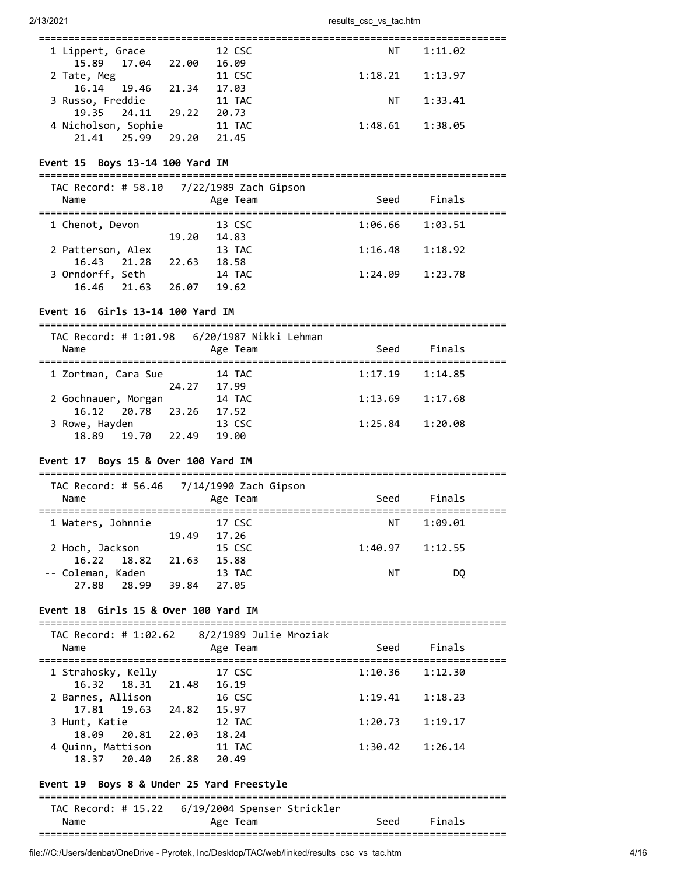| 1 Lippert, Grace    |                   |       | 12 CSC | NT.                 | 1:11.02 |
|---------------------|-------------------|-------|--------|---------------------|---------|
|                     | 15.89 17.04 22.00 |       | 16.09  |                     |         |
| 2 Tate, Meg         |                   |       | 11 CSC | 1:18.21             | 1:13.97 |
|                     | 16.14 19.46 21.34 |       | 17.03  |                     |         |
| 3 Russo, Freddie    |                   |       | 11 TAC | NT                  | 1:33.41 |
|                     | 19.35 24.11 29.22 |       | 20.73  |                     |         |
| 4 Nicholson, Sophie |                   |       | 11 TAC | $1:48.61$ $1:38.05$ |         |
| 21.41 25.99         |                   | 29.20 | 21.45  |                     |         |
|                     |                   |       |        |                     |         |

#### **Event 15 Boys 13-14 100 Yard IM**

===============================================================================

| TAC Record: # 58.10 7/22/1989 Zach Gipson<br>Name |       | Age Team | Seed    | Finals  |  |
|---------------------------------------------------|-------|----------|---------|---------|--|
| 1 Chenot, Devon                                   |       | 13 CSC   | 1:06.66 | 1:03.51 |  |
|                                                   | 19.20 | 14.83    |         |         |  |
| 2 Patterson, Alex                                 |       | 13 TAC   | 1:16.48 | 1:18.92 |  |
| 16.43 21.28                                       | 22.63 | 18.58    |         |         |  |
| 3 Orndorff, Seth                                  |       | 14 TAC   | 1:24.09 | 1:23.78 |  |
| 21.63<br>16.46                                    | 26.07 | 19.62    |         |         |  |
|                                                   |       |          |         |         |  |

#### **Event 16 Girls 13-14 100 Yard IM**

===============================================================================

| Name                                |       | Age Team        | Seed    | Finals  |  |
|-------------------------------------|-------|-----------------|---------|---------|--|
| 1 Zortman, Cara Sue                 |       | 14 TAC          | 1:17.19 | 1:14.85 |  |
| 2 Gochnauer, Morgan                 | 24.27 | 17.99<br>14 TAC | 1:13.69 | 1:17.68 |  |
| 16.12 20.78 23.26<br>3 Rowe, Hayden |       | 17.52<br>13 CSC | 1:25.84 | 1:20.08 |  |
| 18.89<br>19.70                      | 22.49 | 19.00           |         |         |  |

### **Event 17 Boys 15 & Over 100 Yard IM**

|                   |       | TAC Record: # 56.46 7/14/1990 Zach Gipson |         |         |
|-------------------|-------|-------------------------------------------|---------|---------|
| Name              |       | Age Team                                  | Seed    | Finals  |
|                   |       |                                           |         |         |
| 1 Waters, Johnnie |       | 17 CSC                                    | NΤ      | 1:09.01 |
|                   | 19.49 | 17.26                                     |         |         |
| 2 Hoch, Jackson   |       | 15 CSC                                    | 1:40.97 | 1:12.55 |
| 16.22 18.82       | 21.63 | 15.88                                     |         |         |
| -- Coleman, Kaden |       | 13 TAC                                    | ΝT      | DO      |
| 27.88<br>28.99    | 39.84 | 27.05                                     |         |         |

#### **Event 18 Girls 15 & Over 100 Yard IM**

=============================================================================== TAC Record: # 1:02.62 8/2/1989 Julie Mroziak

| $H = N$<br>Name         | O/Z/1909 JUIIE MIUZIAN<br>Age Team | Seed    | Finals  |
|-------------------------|------------------------------------|---------|---------|
| 1 Strahosky, Kelly      | 17 CSC                             | 1:10.36 | 1:12.30 |
| 16.32 18.31 21.48       | 16.19                              |         |         |
| 2 Barnes, Allison       | 16 CSC                             | 1:19.41 | 1:18.23 |
| 17.81 19.63 24.82       | 15.97                              |         |         |
| 3 Hunt, Katie           | 12 TAC                             | 1:20.73 | 1:19.17 |
| 18.09<br>20.81<br>22.03 | 18.24                              |         |         |
| 4 Quinn, Mattison       | 11 TAC                             | 1:30.42 | 1:26.14 |
| 18.37<br>20.40<br>26.88 | 20.49                              |         |         |

### **Event 19 Boys 8 & Under 25 Yard Freestyle**

=============================================================================== TAC Record: # 15.22 6/19/2004 Spenser Strickler Name **Age Team** Seed Finals ===============================================================================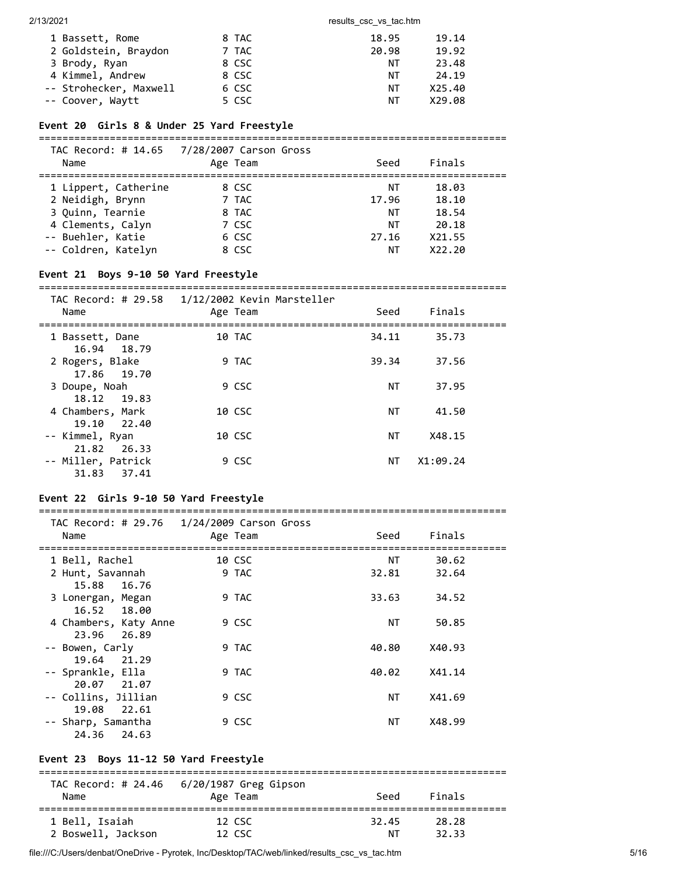| 1 Bassett, Rome        | 8 TAC | 18.95 | 19.14  |
|------------------------|-------|-------|--------|
| 2 Goldstein, Braydon   | 7 TAC | 20.98 | 19.92  |
| 3 Brody, Ryan          | 8 CSC | NΤ    | 23.48  |
| 4 Kimmel, Andrew       | 8 CSC | NT.   | 24.19  |
| -- Strohecker, Maxwell | 6 CSC | NT.   | X25.40 |
| -- Coover, Waytt       | 5 CSC | NT.   | X29.08 |

#### **Event 20 Girls 8 & Under 25 Yard Freestyle**

===============================================================================

| Name                                                                              | TAC Record: # 14.65 7/28/2007 Carson Gross<br>Age Team | Seed                    | Finals                                     |  |
|-----------------------------------------------------------------------------------|--------------------------------------------------------|-------------------------|--------------------------------------------|--|
| 1 Lippert, Catherine<br>2 Neidigh, Brynn<br>3 Quinn, Tearnie<br>4 Clements, Calyn | 8 CSC<br>7 TAC<br>8 TAC<br>7 CSC                       | NΤ<br>17.96<br>ΝT<br>NΤ | 18.03<br>18.10<br>18.54<br>20.18<br>X21.55 |  |
| -- Buehler, Katie<br>-- Coldren, Katelyn                                          | 6 CSC<br>8 CSC                                         | 27.16<br>NΤ             | X22.20                                     |  |

### **Event 21 Boys 9-10 50 Yard Freestyle**

=============================================================================== TAC Record: # 29.58 1/12/2002 Kevin Marsteller

| Name                                 | Age Team | Seed  | Finals   |  |
|--------------------------------------|----------|-------|----------|--|
| 1 Bassett, Dane<br>16.94 18.79       | 10 TAC   | 34.11 | 35.73    |  |
| 2 Rogers, Blake<br>17.86 19.70       | 9 TAC    | 39.34 | 37.56    |  |
| 3 Doupe, Noah<br>18.12 19.83         | 9 CSC    | NΤ    | 37.95    |  |
| 4 Chambers, Mark<br>19.10 22.40      | 10 CSC   | ΝT    | 41.50    |  |
| -- Kimmel, Ryan<br>21.82 26.33       | 10 CSC   | ΝT    | X48.15   |  |
| -- Miller, Patrick<br>31.83<br>37.41 | 9 CSC    | NΤ    | X1:09.24 |  |

### **Event 22 Girls 9-10 50 Yard Freestyle**

#### ===============================================================================

| Name                  | TAC Record: # 29.76 1/24/2009 Carson Gross<br>Age Team | Seed      | Finals |  |
|-----------------------|--------------------------------------------------------|-----------|--------|--|
| 1 Bell, Rachel        | 10 CSC                                                 | ΝT        | 30.62  |  |
| 2 Hunt, Savannah      | 9 TAC                                                  | 32.81     | 32.64  |  |
| 15.88 16.76           |                                                        |           |        |  |
| 3 Lonergan, Megan     | 9 TAC                                                  | 33.63     | 34.52  |  |
| 16.52 18.00           |                                                        |           |        |  |
| 4 Chambers, Katy Anne | 9 CSC                                                  | ΝT        | 50.85  |  |
| 23.96 26.89           |                                                        |           |        |  |
| -- Bowen, Carly       | 9 TAC                                                  | 40.80     | X40.93 |  |
| 19.64 21.29           |                                                        |           |        |  |
| -- Sprankle, Ella     | 9 TAC                                                  | 40.02     | X41.14 |  |
| 20.07 21.07           |                                                        |           |        |  |
| -- Collins, Jillian   | 9 CSC                                                  | <b>NT</b> | X41.69 |  |
| 22.61<br>19.08        |                                                        |           |        |  |
| -- Sharp, Samantha    | 9 CSC                                                  | ΝT        | X48.99 |  |
| 24.36<br>24.63        |                                                        |           |        |  |

### **Event 23 Boys 11-12 50 Yard Freestyle**

| Name               | TAC Record: # 24.46    6/20/1987 Greg Gipson<br>Age Team | Seed  | Finals |  |
|--------------------|----------------------------------------------------------|-------|--------|--|
| 1 Bell, Isaiah     | 12 CSC                                                   | 32.45 | 28.28  |  |
| 2 Boswell, Jackson | 12 CSC                                                   | ΝT    | 32.33  |  |

file:///C:/Users/denbat/OneDrive - Pyrotek, Inc/Desktop/TAC/web/linked/results\_csc\_vs\_tac.htm 5/16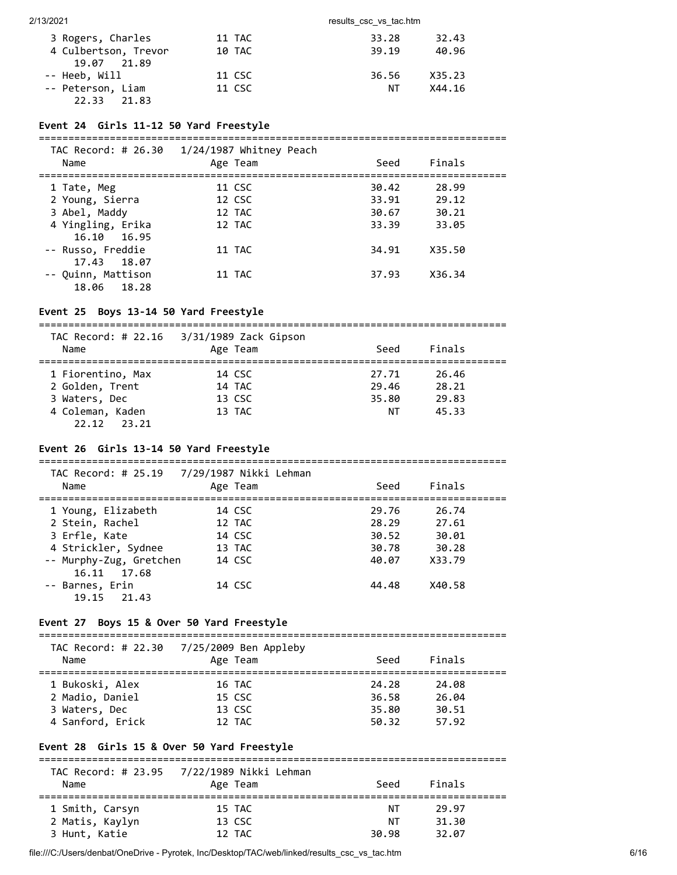| 3 Rogers, Charles    | 11 TAC | 33.28 | 32.43  |
|----------------------|--------|-------|--------|
| 4 Culbertson, Trevor | 10 TAC | 39.19 | 40.96  |
| 19.07 21.89          |        |       |        |
| -- Heeb, Will        | 11 CSC | 36.56 | X35.23 |
| -- Peterson, Liam    | 11 CSC | NT.   | X44.16 |
| 22.33<br>21.83       |        |       |        |

#### **Event 24 Girls 11-12 50 Yard Freestyle**

===============================================================================

| TAC Record: # 26.30<br>Name | $1/24/1987$ Whitney Peach<br>Age Team | Seed  | Finals |  |
|-----------------------------|---------------------------------------|-------|--------|--|
| 1 Tate, Meg                 | 11 CSC                                | 30.42 | 28.99  |  |
| 2 Young, Sierra             | 12 CSC                                | 33.91 | 29.12  |  |
| 3 Abel, Maddy               | 12 TAC                                | 30.67 | 30.21  |  |
| 4 Yingling, Erika           | 12 TAC                                | 33.39 | 33.05  |  |
| 16.10 16.95                 |                                       |       |        |  |
| -- Russo, Freddie           | 11 TAC                                | 34.91 | X35.50 |  |
| 17.43 18.07                 |                                       |       |        |  |
| -- Quinn, Mattison          | 11 TAC                                | 37.93 | X36.34 |  |
| 18.06<br>18.28              |                                       |       |        |  |

#### **Event 25 Boys 13-14 50 Yard Freestyle**

===============================================================================

| TAC Record: # 22.16<br>Name | 3/31/1989 Zack Gipson<br>Age Team | Seed  | Finals |  |
|-----------------------------|-----------------------------------|-------|--------|--|
| 1 Fiorentino, Max           | 14 CSC                            | 27.71 | 26.46  |  |
| 2 Golden, Trent             | 14 TAC                            | 29.46 | 28.21  |  |
| 3 Waters, Dec               | 13 CSC                            | 35.80 | 29.83  |  |
| 4 Coleman, Kaden            | 13 TAC                            | ΝT    | 45.33  |  |
| 22.12<br>23.21              |                                   |       |        |  |

#### **Event 26 Girls 13-14 50 Yard Freestyle**

=============================================================================== TAC Record: # 25.19 7/29/1987 Nikki Lehman

| Name                    | Age Team | Seed  | Finals |  |
|-------------------------|----------|-------|--------|--|
| 1 Young, Elizabeth      | 14 CSC   | 29.76 | 26.74  |  |
| 2 Stein, Rachel         | 12 TAC   | 28.29 | 27.61  |  |
| 3 Erfle, Kate           | 14 CSC   | 30.52 | 30.01  |  |
| 4 Strickler, Sydnee     | 13 TAC   | 30.78 | 30.28  |  |
| -- Murphy-Zug, Gretchen | 14 CSC   | 40.07 | X33.79 |  |
| 16.11 17.68             |          |       |        |  |
| -- Barnes, Erin         | 14 CSC   | 44.48 | X40.58 |  |
| 19.15<br>21.43          |          |       |        |  |

### **Event 27 Boys 15 & Over 50 Yard Freestyle**

| TAC Record: # 22.30<br>Name | 7/25/2009 Ben Appleby<br>Age Team | Seed  | Finals |  |
|-----------------------------|-----------------------------------|-------|--------|--|
| 1 Bukoski, Alex             | 16 TAC                            | 24.28 | 24.08  |  |
| 2 Madio, Daniel             | 15 CSC                            | 36.58 | 26.04  |  |
| 3 Waters, Dec               | 13 CSC                            | 35.80 | 30.51  |  |
| 4 Sanford, Erick            | 12 TAC                            | 50.32 | 57.92  |  |

### **Event 28 Girls 15 & Over 50 Yard Freestyle**

|                 | TAC Record: # 23.95 7/22/1989 Nikki Lehman |       |        |  |
|-----------------|--------------------------------------------|-------|--------|--|
| Name            | Age Team                                   | Seed  | Finals |  |
| 1 Smith, Carsyn | 15 TAC                                     | NT    | 29.97  |  |
| 2 Matis, Kaylyn | 13 CSC                                     | ΝT    | 31.30  |  |
| 3 Hunt, Katie   | 12 TAC                                     | 30.98 | 32.07  |  |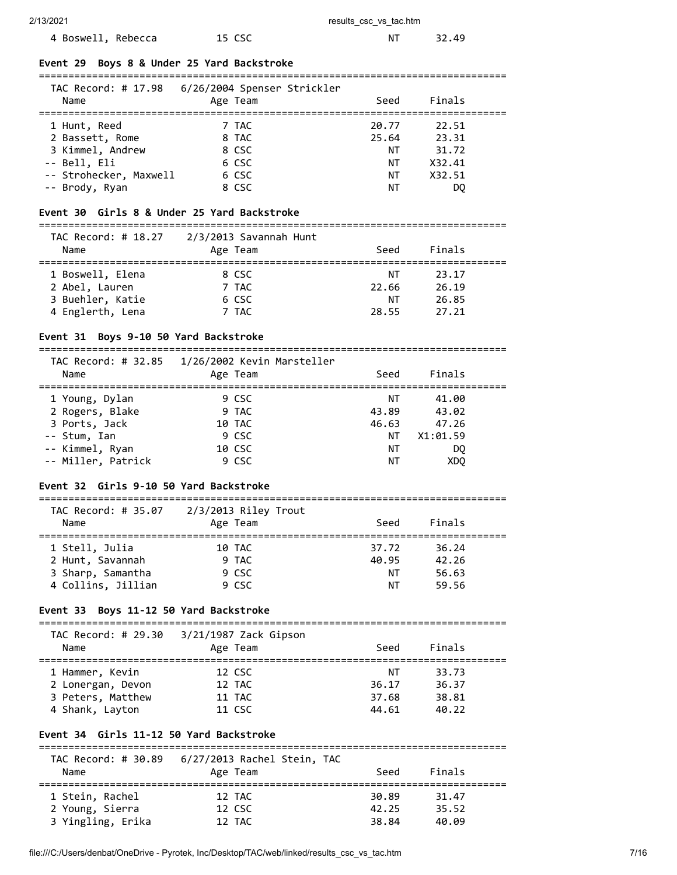# 4 Boswell, Rebecca and 15 CSC 15 NT 32.49

#### **Event 29 Boys 8 & Under 25 Yard Backstroke**

=============================================================================== TAC Record: # 17.98 6/26/2004 Spenser Strickler

| Name                   | TAC RECOLU. $\pi$ 17.50 U/20/2004 Spenser Strickler<br>Age Team | Seed  | Finals |  |
|------------------------|-----------------------------------------------------------------|-------|--------|--|
| 1 Hunt, Reed           | 7 TAC                                                           | 20.77 | 22.51  |  |
| 2 Bassett, Rome        | 8 TAC                                                           | 25.64 | 23.31  |  |
| 3 Kimmel, Andrew       | 8 CSC                                                           | ΝT    | 31.72  |  |
| -- Bell, Eli           | 6 CSC                                                           | NΤ    | X32.41 |  |
| -- Strohecker, Maxwell | 6 CSC                                                           | ΝT    | X32.51 |  |
| -- Brody, Ryan         | 8 CSC                                                           | NΤ    | DO     |  |
|                        |                                                                 |       |        |  |

#### **Event 30 Girls 8 & Under 25 Yard Backstroke**

===============================================================================  $T<sub>1</sub>$ 

| TAC Record: # 18.27<br>Name | 2/3/2013 Savannah Hunt<br>Age Team | Seed  | Finals |  |
|-----------------------------|------------------------------------|-------|--------|--|
| 1 Boswell, Elena            | 8 CSC                              | NΤ    | 23.17  |  |
| 2 Abel, Lauren              | 7 TAC                              | 22.66 | 26.19  |  |
| 3 Buehler, Katie            | 6 CSC                              | ΝT    | 26.85  |  |
| 4 Englerth, Lena            | 7 TAC                              | 28.55 | 27.21  |  |

### **Event 31 Boys 9-10 50 Yard Backstroke**

=============================================================================== TAC Record: # 32.85 1/26/2002 Kevin Marsteller

| Name               | $172$ $1220$ $141$ $12210$ $120$ $1200$ $1200$ $111$ $101$ $100$<br>Age Team | Seed  | Finals          |  |
|--------------------|------------------------------------------------------------------------------|-------|-----------------|--|
| 1 Young, Dylan     | 9 CSC                                                                        | NΤ    | 41.00           |  |
| 2 Rogers, Blake    | 9 TAC                                                                        | 43.89 | 43.02           |  |
| 3 Ports, Jack      | 10 TAC                                                                       | 46.63 | 47.26           |  |
| -- Stum, Ian       | 9 CSC                                                                        | ΝT    | X1:01.59        |  |
| -- Kimmel, Ryan    | 10 CSC                                                                       | ΝT    | DO.             |  |
| -- Miller, Patrick | 9 CSC                                                                        | ΝT    | XD <sub>O</sub> |  |

# **Event 32 Girls 9-10 50 Yard Backstroke**

| TAC Record: # 35.07 | $2/3/2013$ Riley Trout |       |        |  |
|---------------------|------------------------|-------|--------|--|
| Name                | Age Team               | Seed  | Finals |  |
|                     |                        |       |        |  |
| 1 Stell, Julia      | 10 TAC                 | 37.72 | 36.24  |  |
| 2 Hunt, Savannah    | 9 TAC                  | 40.95 | 42.26  |  |
| 3 Sharp, Samantha   | 9 CSC                  | ΝT    | 56.63  |  |
| 4 Collins, Jillian  | 9 CSC                  | NΤ    | 59.56  |  |

#### **Event 33 Boys 11-12 50 Yard Backstroke**

===============================================================================

| TAC Record: # 29.30<br>Name | 3/21/1987 Zack Gipson<br>Age Team | Seed  | Finals |  |
|-----------------------------|-----------------------------------|-------|--------|--|
| 1 Hammer, Kevin             | 12 CSC                            | NΤ    | 33.73  |  |
| 2 Lonergan, Devon           | 12 TAC                            | 36.17 | 36.37  |  |
| 3 Peters, Matthew           | 11 TAC                            | 37.68 | 38.81  |  |
| 4 Shank, Layton             | 11 CSC                            | 44.61 | 40.22  |  |

### **Event 34 Girls 11-12 50 Yard Backstroke**

| Name              | Age Team | Seed  | Finals |
|-------------------|----------|-------|--------|
|                   |          |       |        |
| 1 Stein, Rachel   | 12 TAC   | 30.89 | 31.47  |
| 2 Young, Sierra   | 12 CSC   | 42.25 | 35.52  |
| 3 Yingling, Erika | 12 TAC   | 38.84 | 40.09  |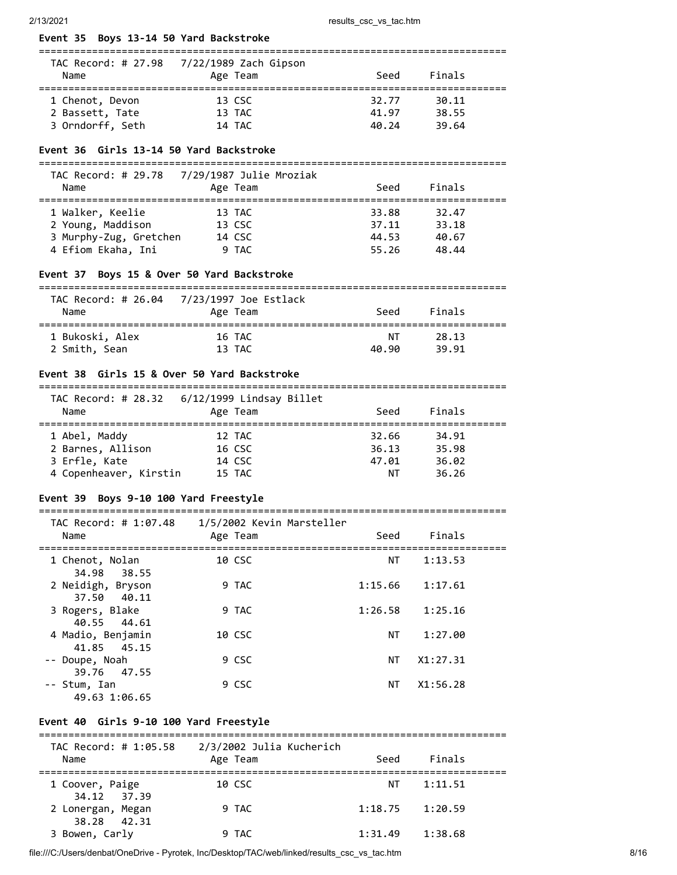# **Event 35 Boys 13-14 50 Yard Backstroke**

| TAC Record: # 27.98<br>Name        | 7/22/1989 Zach Gipson<br>Age Team | Seed           | Finals         |  |
|------------------------------------|-----------------------------------|----------------|----------------|--|
| 1 Chenot, Devon<br>2 Bassett, Tate | 13 CSC<br>13 TAC                  | 32.77<br>41.97 | 30.11<br>38.55 |  |
| 3 Orndorff, Seth                   | 14 TAC                            | 40.24          | 39.64          |  |

### **Event 36 Girls 13-14 50 Yard Backstroke**

| TAC Record: # 29.78<br>Name | 7/29/1987 Julie Mroziak<br>Age Team | Seed  | Finals |  |
|-----------------------------|-------------------------------------|-------|--------|--|
| 1 Walker, Keelie            | 13 TAC                              | 33.88 | 32.47  |  |
| 2 Young, Maddison           | 13 CSC                              | 37.11 | 33.18  |  |
| 3 Murphy-Zug, Gretchen      | 14 CSC                              | 44.53 | 40.67  |  |
| 4 Efiom Ekaha, Ini          | 9 TAC                               | 55.26 | 48.44  |  |

### **Event 37 Boys 15 & Over 50 Yard Backstroke**

| TAC Record: # 26.04<br>Name | 7/23/1997 Joe Estlack<br>Age Team | Seed  | Finals |  |
|-----------------------------|-----------------------------------|-------|--------|--|
| 1 Bukoski, Alex             | 16 TAC                            | NΤ    | 28.13  |  |
| 2 Smith, Sean               | 13 TAC                            | 40.90 | 39.91  |  |

### **Event 38 Girls 15 & Over 50 Yard Backstroke**

| Name                   | TAC Record: $\#$ 28.32 6/12/1999 Lindsay Billet<br>Age Team | Seed  | Finals |  |
|------------------------|-------------------------------------------------------------|-------|--------|--|
| 1 Abel, Maddy          | 12 TAC                                                      | 32.66 | 34.91  |  |
| 2 Barnes, Allison      | 16 CSC                                                      | 36.13 | 35.98  |  |
| 3 Erfle, Kate          | 14 CSC                                                      | 47.01 | 36.02  |  |
| 4 Copenheaver, Kirstin | 15 TAC                                                      | ΝT    | 36.26  |  |

#### **Event 39 Boys 9-10 100 Yard Freestyle**

#### =============================================================================== TAC Record: # 1:07.48 1/5/2002 Kevin Marsteller

| Name                                | $\frac{1}{2}$ , $\frac{1}{2}$ , $\frac{1}{2}$ , $\frac{1}{2}$ , $\frac{1}{2}$ , $\frac{1}{2}$ , $\frac{1}{2}$ , $\frac{1}{2}$ , $\frac{1}{2}$ , $\frac{1}{2}$<br>Age Team | Seed    | Finals   |  |
|-------------------------------------|---------------------------------------------------------------------------------------------------------------------------------------------------------------------------|---------|----------|--|
| 1 Chenot, Nolan<br>34.98<br>38.55   | 10 CSC                                                                                                                                                                    | ΝT      | 1:13.53  |  |
| 2 Neidigh, Bryson<br>37.50<br>40.11 | 9 TAC                                                                                                                                                                     | 1:15.66 | 1:17.61  |  |
| 3 Rogers, Blake<br>40.55 44.61      | 9 TAC                                                                                                                                                                     | 1:26.58 | 1:25.16  |  |
| 4 Madio, Benjamin<br>41.85 45.15    | 10 CSC                                                                                                                                                                    | ΝT      | 1:27.00  |  |
| -- Doupe, Noah<br>39.76 47.55       | 9 CSC                                                                                                                                                                     | NΤ      | X1:27.31 |  |
| -- Stum, Ian<br>49.63 1:06.65       | 9 CSC                                                                                                                                                                     | ΝT      | X1:56.28 |  |

### **Event 40 Girls 9-10 100 Yard Freestyle**

| TAC Record: # 1:05.58            | 2/3/2002 Julia Kucherich |         |         |  |
|----------------------------------|--------------------------|---------|---------|--|
| Name                             | Age Team                 | Seed    | Finals  |  |
| 1 Coover, Paige<br>34.12 37.39   | 10 CSC                   | NT      | 1:11.51 |  |
| 2 Lonergan, Megan<br>38.28 42.31 | 9 TAC                    | 1:18.75 | 1:20.59 |  |
| 3 Bowen, Carly                   | 9 TAC                    | 1:31.49 | 1:38.68 |  |

file:///C:/Users/denbat/OneDrive - Pyrotek, Inc/Desktop/TAC/web/linked/results\_csc\_vs\_tac.htm 8/16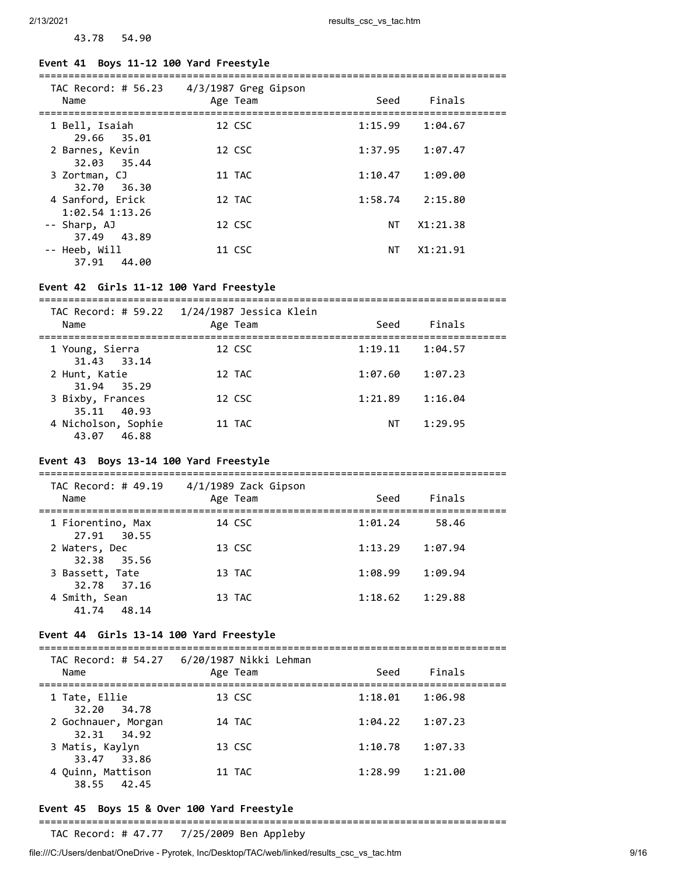### **Event 41 Boys 11-12 100 Yard Freestyle**

43.78 54.90

| Name                                    | TAC Record: # 56.23 4/3/1987 Greg Gipson<br>Age Team | Seed      | Finals              |  |
|-----------------------------------------|------------------------------------------------------|-----------|---------------------|--|
| 1 Bell, Isaiah<br>29.66 35.01           | 12 CSC                                               |           | $1:15.99$ $1:04.67$ |  |
| 2 Barnes, Kevin<br>32.03 35.44          | 12 CSC                                               | 1:37.95   | 1:07.47             |  |
| 3 Zortman, CJ<br>32.70 36.30            | 11 TAC                                               | 1:10.47   | 1:09.00             |  |
| 4 Sanford, Erick<br>$1:02.54$ $1:13.26$ | 12 TAC                                               |           | $1:58.74$ $2:15.80$ |  |
| -- Sharp, AJ<br>37.49 43.89             | 12 CSC                                               | <b>NT</b> | X1:21.38            |  |
| -- Heeb, Will<br>44.00<br>37.91         | 11 CSC                                               | NT        | X1:21.91            |  |

#### **Event 42 Girls 11-12 100 Yard Freestyle**

===============================================================================

| Name                               | Age Team | Seed    | Finals  |  |
|------------------------------------|----------|---------|---------|--|
| 1 Young, Sierra<br>31.43 33.14     | 12 CSC   | 1:19.11 | 1:04.57 |  |
| 2 Hunt, Katie<br>31.94 35.29       | 12 TAC   | 1:07.60 | 1:07.23 |  |
| 3 Bixby, Frances<br>35.11 40.93    | 12 CSC   | 1:21.89 | 1:16.04 |  |
| 4 Nicholson, Sophie<br>43.07 46.88 | 11 TAC   | ΝT      | 1:29.95 |  |

### **Event 43 Boys 13-14 100 Yard Freestyle**

| TAC Record: # 49.19<br>Name      | 4/1/1989 Zack Gipson<br>Age Team | Seed    | Finals  |  |
|----------------------------------|----------------------------------|---------|---------|--|
| 1 Fiorentino, Max<br>27.91 30.55 | 14 CSC                           | 1:01.24 | 58.46   |  |
| 2 Waters, Dec<br>32.38 35.56     | 13 CSC                           | 1:13.29 | 1:07.94 |  |
| 3 Bassett, Tate<br>32.78 37.16   | 13 TAC                           | 1:08.99 | 1:09.94 |  |
| 4 Smith, Sean<br>48.14<br>41.74  | 13 TAC                           | 1:18.62 | 1:29.88 |  |

#### **Event 44 Girls 13-14 100 Yard Freestyle**

===============================================================================  $TAC$  Record:  $HSA$   $27$   $6/20/1987$  Nikki Leh

| Name                               | Age Team | Seed    | Finals  |  |
|------------------------------------|----------|---------|---------|--|
| 1 Tate, Ellie<br>32.20 34.78       | 13 CSC   | 1:18.01 | 1:06.98 |  |
| 2 Gochnauer, Morgan<br>32.31 34.92 | 14 TAC   | 1:04.22 | 1:07.23 |  |
| 3 Matis, Kaylyn<br>33.47 33.86     | 13 CSC   | 1:10.78 | 1:07.33 |  |
| 4 Quinn, Mattison<br>38.55 42.45   | 11 TAC   | 1:28.99 | 1:21.00 |  |

### **Event 45 Boys 15 & Over 100 Yard Freestyle**

===============================================================================

TAC Record: # 47.77 7/25/2009 Ben Appleby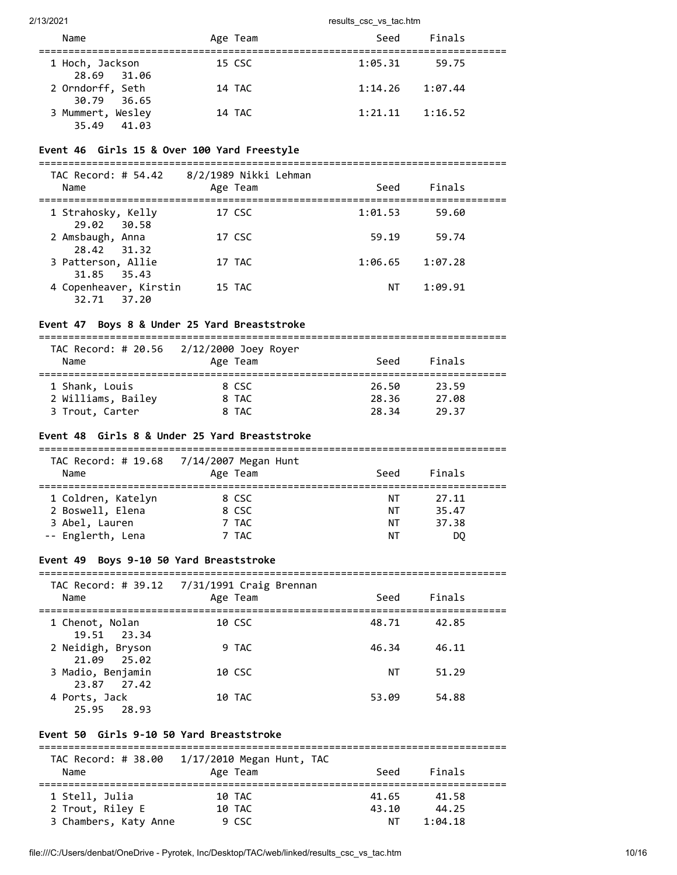| Name                             | Age Team | Finals<br>Seed     |  |
|----------------------------------|----------|--------------------|--|
| 1 Hoch, Jackson<br>28.69 31.06   | 15 CSC   | 1:05.31<br>59.75   |  |
| 2 Orndorff, Seth<br>30.79 36.65  | 14 TAC   | 1:14.26<br>1:07.44 |  |
| 3 Mummert, Wesley<br>35.49 41.03 | 14 TAC   | 1:21.11<br>1:16.52 |  |

### **Event 46 Girls 15 & Over 100 Yard Freestyle**

| TAC Record: # 54.42<br>Name           | 8/2/1989 Nikki Lehman<br>Age Team | Seed    | Finals  |  |
|---------------------------------------|-----------------------------------|---------|---------|--|
| 1 Strahosky, Kelly<br>29.02 30.58     | 17 CSC                            | 1:01.53 | 59.60   |  |
| 2 Amsbaugh, Anna<br>28.42 31.32       | 17 CSC                            | 59.19   | 59.74   |  |
| 3 Patterson, Allie<br>31.85 35.43     | 17 TAC                            | 1:06.65 | 1:07.28 |  |
| 4 Copenheaver, Kirstin<br>32.71 37.20 | 15 TAC                            | ΝT      | 1:09.91 |  |

### **Event 47 Boys 8 & Under 25 Yard Breaststroke**

===============================================================================

| Name               | TAC Record: # 20.56 2/12/2000 Joey Royer<br>Age Team | Seed  | Finals |  |
|--------------------|------------------------------------------------------|-------|--------|--|
| 1 Shank, Louis     | 8 CSC                                                | 26.50 | 23.59  |  |
| 2 Williams, Bailey | 8 TAC                                                | 28.36 | 27.08  |  |
| 3 Trout, Carter    | 8 TAC                                                | 28.34 | 29.37  |  |

# **Event 48 Girls 8 & Under 25 Yard Breaststroke**

| Name               | TAC Record: # 19.68 7/14/2007 Megan Hunt<br>Age Team | Seed | Finals |  |
|--------------------|------------------------------------------------------|------|--------|--|
| 1 Coldren, Katelyn | 8 CSC                                                | NΤ   | 27.11  |  |
| 2 Boswell, Elena   | 8 CSC                                                | NΤ   | 35.47  |  |
| 3 Abel, Lauren     | 7 TAC                                                | NΤ   | 37.38  |  |
| -- Englerth, Lena  | 7 TAC                                                | ΝT   | DO.    |  |

### **Event 49 Boys 9-10 50 Yard Breaststroke**

| Name                             | TAC Record: # 39.12 7/31/1991 Craig Brennan<br>Age Team | Seed  | Finals |  |
|----------------------------------|---------------------------------------------------------|-------|--------|--|
| 1 Chenot, Nolan<br>19.51 23.34   | 10 CSC                                                  | 48.71 | 42.85  |  |
| 2 Neidigh, Bryson<br>21.09 25.02 | 9 TAC                                                   | 46.34 | 46.11  |  |
| 3 Madio, Benjamin<br>23.87 27.42 | 10 CSC                                                  | ΝT    | 51.29  |  |
| 4 Ports, Jack<br>25.95<br>28.93  | 10 TAC                                                  | 53.09 | 54.88  |  |

### **Event 50 Girls 9-10 50 Yard Breaststroke**

| TAC Record: # 38.00   | $1/17/2010$ Megan Hunt, TAC |       |         |
|-----------------------|-----------------------------|-------|---------|
| Name                  | Age Team                    | Seed  | Finals  |
| 1 Stell, Julia        | 10 TAC                      | 41.65 | 41.58   |
| 2 Trout, Riley E      | 10 TAC                      | 43.10 | 44.25   |
| 3 Chambers, Katy Anne | 9 CSC                       | ΝT    | 1:04.18 |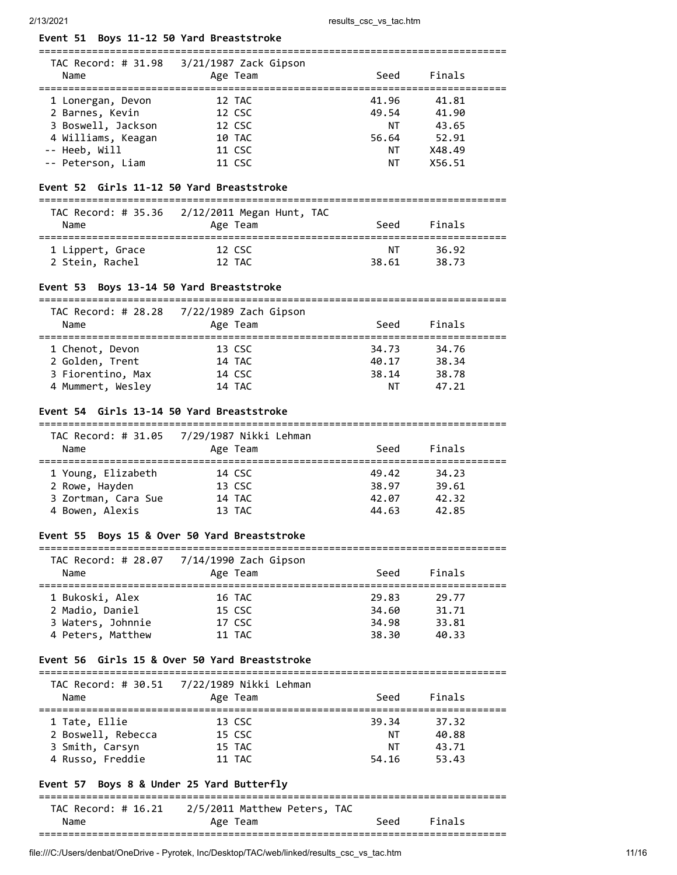===============================================================================

### **Event 51 Boys 11-12 50 Yard Breaststroke**

| TAC Record: # 31.98<br>Name | $3/21/1987$ Zack Gipson<br>Age Team | Seed  | Finals |  |
|-----------------------------|-------------------------------------|-------|--------|--|
| 1 Lonergan, Devon           | 12 TAC                              | 41.96 | 41.81  |  |
| 2 Barnes, Kevin             | 12 CSC                              | 49.54 | 41.90  |  |
| 3 Boswell, Jackson          | 12 CSC                              | NT.   | 43.65  |  |
| 4 Williams, Keagan          | 10 TAC                              | 56.64 | 52.91  |  |
| -- Heeb, Will               | 11 CSC                              | ΝT    | X48.49 |  |
| -- Peterson, Liam           | 11 CSC                              | ΝT    | X56.51 |  |

===============================================================================

### **Event 52 Girls 11-12 50 Yard Breaststroke**

| Name             | TAC Record: # 35.36 2/12/2011 Megan Hunt, TAC<br>Age Team | Seed  | Finals |  |
|------------------|-----------------------------------------------------------|-------|--------|--|
| 1 Lippert, Grace | 12 CSC                                                    | ΝT    | 36.92  |  |
| 2 Stein, Rachel  | 12 TAC                                                    | 38.61 | 38.73  |  |

#### **Event 53 Boys 13-14 50 Yard Breaststroke**

|      | TAC Record: # 28.28 7/22/1989 Zach Gipson |             |  |
|------|-------------------------------------------|-------------|--|
| Name | Age Team                                  | Seed Finals |  |
|      |                                           |             |  |

| 1 Chenot, Devon   | 13 CSC | 34.73 | 34.76 |  |
|-------------------|--------|-------|-------|--|
| 2 Golden, Trent   | 14 TAC | 40.17 | 38.34 |  |
| 3 Fiorentino, Max | 14 CSC | 38.14 | 38.78 |  |
| 4 Mummert, Wesley | 14 TAC | ΝT    | 47.21 |  |

#### **Event 54 Girls 13-14 50 Yard Breaststroke**

=============================================================================== TAC Record: # 31.05 7/29/1987 Nikki Lehman

| Name                | IAC RCCOLU. II JI.OJ - 772J/IJO7 NIRRI ECHINGHI<br>Age Team | Seed  | Finals |  |
|---------------------|-------------------------------------------------------------|-------|--------|--|
| 1 Young, Elizabeth  | 14 CSC                                                      | 49.42 | 34.23  |  |
| 2 Rowe, Hayden      | 13 CSC                                                      | 38.97 | 39.61  |  |
| 3 Zortman, Cara Sue | 14 TAC                                                      | 42.07 | 42.32  |  |
| 4 Bowen, Alexis     | 13 TAC                                                      | 44.63 | 42.85  |  |
|                     |                                                             |       |        |  |

### **Event 55 Boys 15 & Over 50 Yard Breaststroke**

| Record: # 28.07<br>TAC | 7/14/1990 Zach Gipson |
|------------------------|-----------------------|

| Name              | Age Team | Seed  | Finals |  |
|-------------------|----------|-------|--------|--|
| 1 Bukoski, Alex   | 16 TAC   | 29.83 | 29.77  |  |
| 2 Madio, Daniel   | 15 CSC   | 34.60 | 31.71  |  |
| 3 Waters, Johnnie | 17 CSC   | 34.98 | 33.81  |  |
| 4 Peters, Matthew | 11 TAC   | 38.30 | 40.33  |  |

#### **Event 56 Girls 15 & Over 50 Yard Breaststroke**

| Name               | Age Team | Seed  | Finals |  |
|--------------------|----------|-------|--------|--|
| 1 Tate, Ellie      | 13 CSC   | 39.34 | 37.32  |  |
| 2 Boswell, Rebecca | 15 CSC   | ΝT    | 40.88  |  |
| 3 Smith, Carsyn    | 15 TAC   | NΤ    | 43.71  |  |
| 4 Russo, Freddie   | 11 TAC   | 54.16 | 53.43  |  |

#### **Event 57 Boys 8 & Under 25 Yard Butterfly**

===============================================================================  $TAC$  Record:  $\#$  16.21 2/5/2011 Matthew Peters,  $TAC$ 

| Name                          | Age<br>eam                     | Seed       | <b>Einais</b> |
|-------------------------------|--------------------------------|------------|---------------|
| ⊥AC<br>- Recora:<br>7 # 16.ZI | 77577011<br>mattnew<br>Peters, | <b>IAC</b> |               |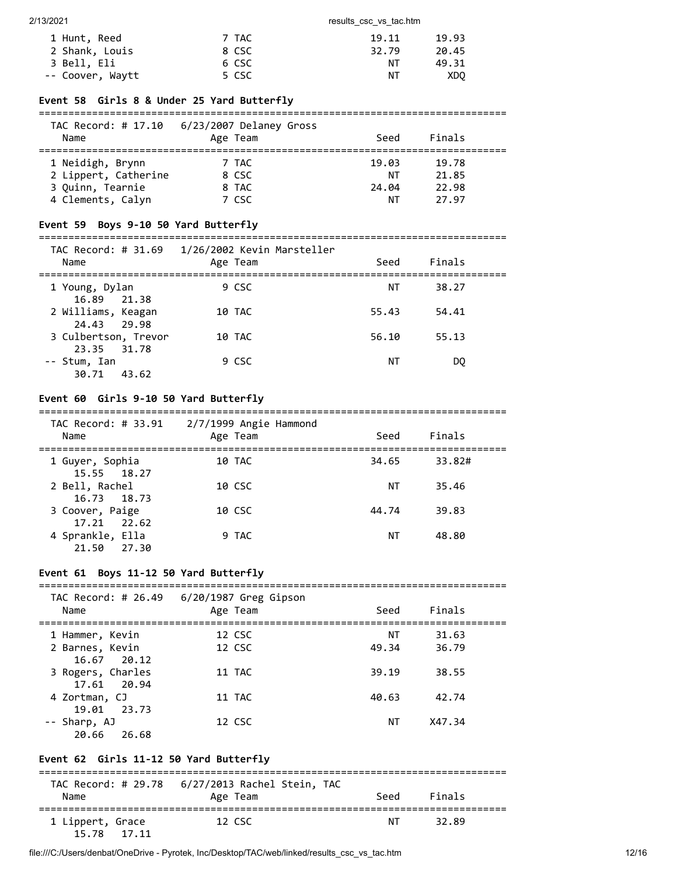| 1 Hunt, Reed     | 7 TAC | 19.11 | 19.93 |
|------------------|-------|-------|-------|
| 2 Shank, Louis   | 8 CSC | 32.79 | 20.45 |
| 3 Bell, Eli      | 6 CSC | ΝT    | 49.31 |
| -- Coover, Waytt | 5 CSC | NΤ    | XDO   |

#### **Event 58 Girls 8 & Under 25 Yard Butterfly**

#### ===============================================================================  $5/23/2007$  Del

| IAC Record: # 17.10<br>Name | 6/23/2007 Delaney Gross<br>Age Team | Seed  | Finals |  |
|-----------------------------|-------------------------------------|-------|--------|--|
| 1 Neidigh, Brynn            | 7 TAC                               | 19.03 | 19.78  |  |
| 2 Lippert, Catherine        | 8 CSC                               | ΝT    | 21.85  |  |
| 3 Ouinn, Tearnie            | 8 TAC                               | 24.04 | 22.98  |  |
| 4 Clements, Calyn           | 7 CSC                               | ΝT    | 27.97  |  |

### **Event 59 Boys 9-10 50 Yard Butterfly**

#### =============================================================================== TAC Record: # 31.69 1/26/2002 Kevin Marsteller

| Name                                | $-7$ $-0$ , $-0$ $-0$ $-1$ $-0$ $-1$ $-1$ $-0$ $-0$ $-1$ $-0$<br>Age Team | Seed  | Finals |  |
|-------------------------------------|---------------------------------------------------------------------------|-------|--------|--|
| 1 Young, Dylan<br>16.89 21.38       | 9 CSC                                                                     | ΝT    | 38.27  |  |
| 2 Williams, Keagan<br>24.43 29.98   | 10 TAC                                                                    | 55.43 | 54.41  |  |
| 3 Culbertson, Trevor<br>23.35 31.78 | 10 TAC                                                                    | 56.10 | 55.13  |  |
| -- Stum, Ian<br>30.71<br>43.62      | 9 CSC                                                                     | ΝT    | DO.    |  |

### **Event 60 Girls 9-10 50 Yard Butterfly**

#### =============================================================================== TAC Record: # 33.91 2/7/1999 Angie Hammond

| IAL Kecora: # 33.91<br>Name     | ا/ / 2/ 1999 Angie Hammond<br>Age Team | Seed  | Finals |  |
|---------------------------------|----------------------------------------|-------|--------|--|
| 1 Guyer, Sophia<br>15.55 18.27  | 10 TAC                                 | 34.65 | 33.82# |  |
| 2 Bell, Rachel<br>16.73 18.73   | 10 CSC                                 | NΤ    | 35.46  |  |
| 3 Coover, Paige<br>17.21 22.62  | 10 CSC                                 | 44.74 | 39.83  |  |
| 4 Sprankle, Ella<br>21.50 27.30 | 9 TAC                                  | ΝT    | 48.80  |  |

### **Event 61 Boys 11-12 50 Yard Butterfly**

| TAC Record: # 26.49<br>Name | $6/20/1987$ Greg Gipson<br>Age Team | Seed  | Finals |  |
|-----------------------------|-------------------------------------|-------|--------|--|
| 1 Hammer, Kevin             | 12 CSC                              | ΝT    | 31.63  |  |
| 2 Barnes, Kevin             | 12 CSC                              | 49.34 | 36.79  |  |
| 16.67 20.12                 |                                     |       |        |  |
| 3 Rogers, Charles           | 11 TAC                              | 39.19 | 38.55  |  |
| 17.61 20.94                 |                                     |       |        |  |
| 4 Zortman, CJ               | 11 TAC                              | 40.63 | 42.74  |  |
| 19.01 23.73                 |                                     |       |        |  |
| -- Sharp, AJ                | 12 CSC                              | ΝT    | X47.34 |  |
| 20.66<br>26.68              |                                     |       |        |  |

# **Event 62 Girls 11-12 50 Yard Butterfly**

| Name                            | Age Team | Seed | Finals |  |
|---------------------------------|----------|------|--------|--|
| 1 Lippert, Grace<br>15.78 17.11 | 12 CSC   | NT   | 32.89  |  |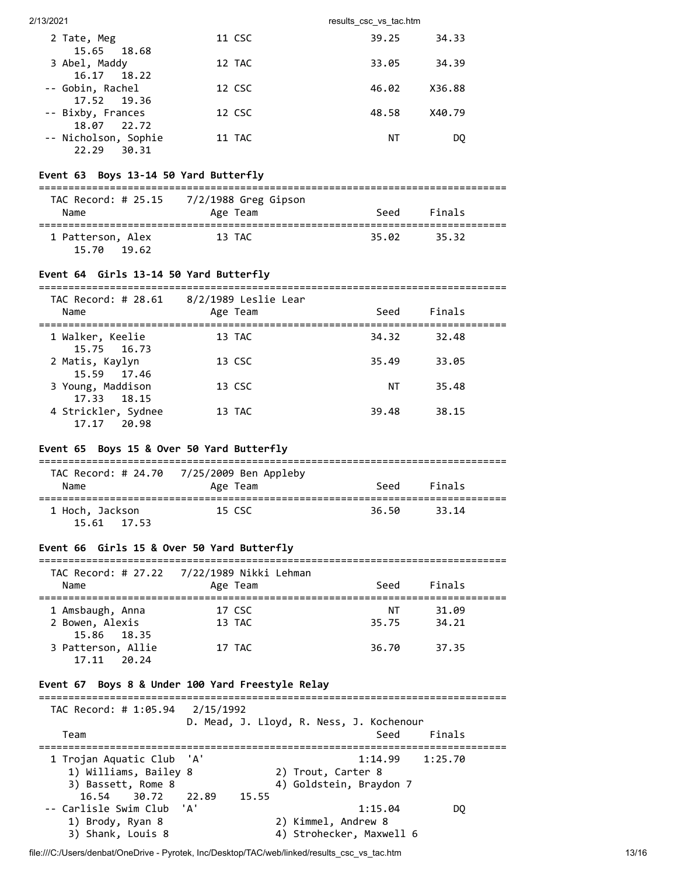| 2/13/2021                           |        | results csc vs tac.htm |    |
|-------------------------------------|--------|------------------------|----|
| 2 Tate, Meg                         | 11 CSC | 39.25<br>34.33         |    |
| 15.65 18.68<br>3 Abel, Maddy        | 12 TAC | 34.39<br>33.05         |    |
| 16.17 18.22<br>-- Gobin, Rachel     | 12 CSC | X36.88<br>46.02        |    |
| 17.52 19.36<br>-- Bixby, Frances    | 12 CSC | X40.79<br>48.58        |    |
| 18.07 22.72<br>-- Nicholson, Sophie | 11 TAC | ΝT                     | DO |
| 22.29<br>30.31                      |        |                        |    |

# **Event 63 Boys 13-14 50 Yard Butterfly**

| TAC Record: # 25.15<br>Name         | 7/2/1988 Greg Gipson<br>Age Team | Seed  | Finals |  |
|-------------------------------------|----------------------------------|-------|--------|--|
| 1 Patterson, Alex<br>15.70<br>19.62 | 13 TAC                           | 35.02 | 35.32  |  |

### **Event 64 Girls 13-14 50 Yard Butterfly**

| TAC Record: # 28.61<br>Name           | 8/2/1989 Leslie Lear<br>Age Team | Seed  | Finals |  |
|---------------------------------------|----------------------------------|-------|--------|--|
| 1 Walker, Keelie<br>15.75 16.73       | 13 TAC                           | 34.32 | 32.48  |  |
| 2 Matis, Kaylyn<br>15.59 17.46        | 13 CSC                           | 35.49 | 33.05  |  |
| 3 Young, Maddison<br>17.33 18.15      | 13 CSC                           | ΝT    | 35.48  |  |
| 4 Strickler, Sydnee<br>20.98<br>17.17 | 13 TAC                           | 39.48 | 38.15  |  |

### **Event 65 Boys 15 & Over 50 Yard Butterfly**

| Name                           | TAC Record: # 24.70 7/25/2009 Ben Appleby<br>Age Team | Seed  | Finals |  |
|--------------------------------|-------------------------------------------------------|-------|--------|--|
| 1 Hoch, Jackson<br>15.61 17.53 | 15 CSC                                                | 36.50 | 33.14  |  |

### **Event 66 Girls 15 & Over 50 Yard Butterfly**

|                    | TAC Record: # 27.22 7/22/1989 Nikki Lehman |       |        |  |
|--------------------|--------------------------------------------|-------|--------|--|
| Name               | Age Team                                   | Seed  | Finals |  |
| 1 Amsbaugh, Anna   | 17 CSC                                     | NΤ    | 31.09  |  |
| 2 Bowen, Alexis    | 13 TAC                                     | 35.75 | 34.21  |  |
| 15.86 18.35        |                                            |       |        |  |
| 3 Patterson, Allie | 17 TAC                                     | 36.70 | 37.35  |  |
| 17.11<br>20.24     |                                            |       |        |  |

#### **Event 67 Boys 8 & Under 100 Yard Freestyle Relay**

### ===============================================================================

| TAC Record: # 1:05.94 2/15/1992                    |       | D. Mead, J. Lloyd, R. Ness, J. Kochenour  |        |
|----------------------------------------------------|-------|-------------------------------------------|--------|
| Team                                               |       | Seed                                      | Finals |
| 1 Trojan Aquatic Club 'A'<br>1) Williams, Bailey 8 |       | $1:14.99$ $1:25.70$<br>2) Trout, Carter 8 |        |
| 3) Bassett, Rome 8<br>16.54 30.72 22.89            | 15.55 | 4) Goldstein, Braydon 7                   |        |
| -- Carlisle Swim Club 'A'<br>1) Brody, Ryan 8      |       | 1:15.04<br>2) Kimmel, Andrew 8            | DO.    |
| 3) Shank, Louis 8                                  |       | 4) Strohecker, Maxwell 6                  |        |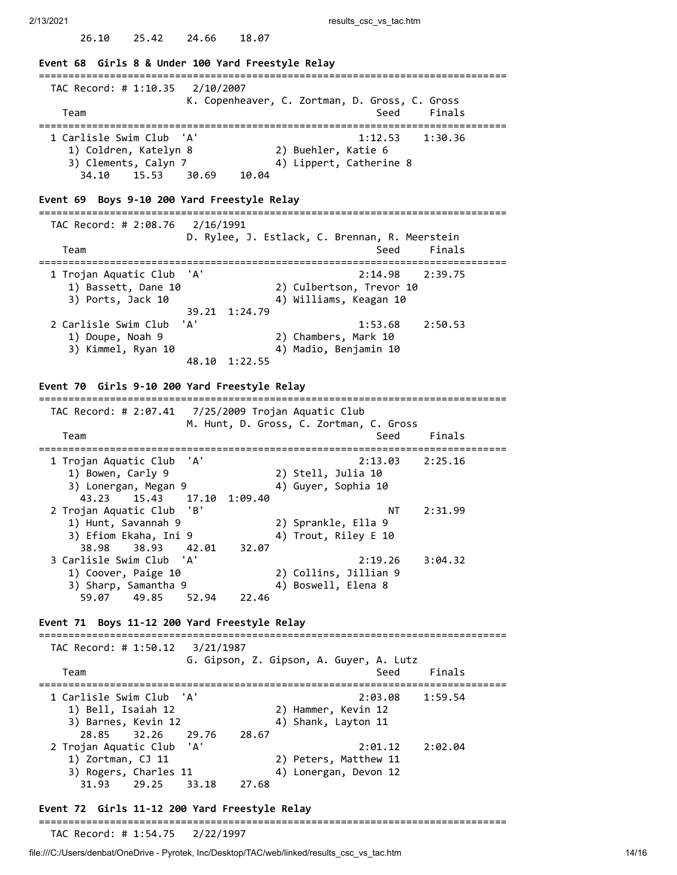26.10 25.42 24.66 18.07

**Event 68 Girls 8 & Under 100 Yard Freestyle Relay** =============================================================================== TAC Record: # 1:10.35 2/10/2007 K. Copenheaver, C. Zortman, D. Gross, C. Gross Team Seed Finals =============================================================================== 1 Carlisle Swim Club 'A' 1:12.53 1:30.36 1) Coldren, Katelyn 8 2) Buehler, Katie 6 3) Clements, Calyn 7 4) Lippert, Catherine 8 34.10 15.53 30.69 10.04 **Event 69 Boys 9-10 200 Yard Freestyle Relay** =============================================================================== TAC Record: # 2:08.76 2/16/1991 D. Rylee, J. Estlack, C. Brennan, R. Meerstein Team Seed Finals =============================================================================== 1 Trojan Aquatic Club 'A' 2:14.98 2:39.75 1) Bassett, Dane 10 2) Culbertson, Trevor 10 3) Ports, Jack 10 4) Williams, Keagan 10 39.21 1:24.79 2 Carlisle Swim Club 'A' 1:53.68 2:50.53 1) Doupe, Noah 9 2) Chambers, Mark 10 3) Kimmel, Ryan 10 4) Madio, Benjamin 10 48.10 1:22.55 **Event 70 Girls 9-10 200 Yard Freestyle Relay** =============================================================================== TAC Record: # 2:07.41 7/25/2009 Trojan Aquatic Club M. Hunt, D. Gross, C. Zortman, C. Gross Team Seed Finals =============================================================================== 1 Trojan Aquatic Club 'A' 2:13.03 2:25.16 1) Bowen, Carly 9 2) Stell, Julia 10 3) Lonergan, Megan 9 4) Guyer, Sophia 10 43.23 15.43 17.10 1:09.40 2 Trojan Aquatic Club 'B'<br>
1) Hunt, Savannah 9 (2) Sprankle, Ella 9 1) Hunt, Savannah 9 2) Sprankle, Ella 9 3) Efiom Ekaha, Ini 9 4) Trout, Riley E 10 3) Efiom Ekaha, Ini 9 (1)<br>38.98 38.93 42.01 32.07 3 Carlisle Swim Club 'A' 2:19.26 3:04.32 1) Coover, Paige 10 2) Collins, Jillian 9 3) Sharp, Samantha 9 4) Boswell, Elena 8 59.07 49.85 52.94 22.46 **Event 71 Boys 11-12 200 Yard Freestyle Relay** =============================================================================== TAC Record: # 1:50.12 3/21/1987 G. Gipson, Z. Gipson, A. Guyer, A. Lutz Team Seed Finals =============================================================================== 1 Carlisle Swim Club 'A' 2:03.08 1:59.54 1) Bell, Isaiah 12 2) Hammer, Kevin 12 3) Barnes, Kevin 12 4) Shank, Layton 11 28.85 32.26 29.76 28.67 2 Trojan Aquatic Club 'A' 2:01.12 2:02.04 1) Zortman, CJ 11 2) Peters, Matthew 11 3) Rogers, Charles 11 4) Lonergan, Devon 12 31.93 29.25 33.18 27.68

### **Event 72 Girls 11-12 200 Yard Freestyle Relay**

#### ===============================================================================

TAC Record: # 1:54.75 2/22/1997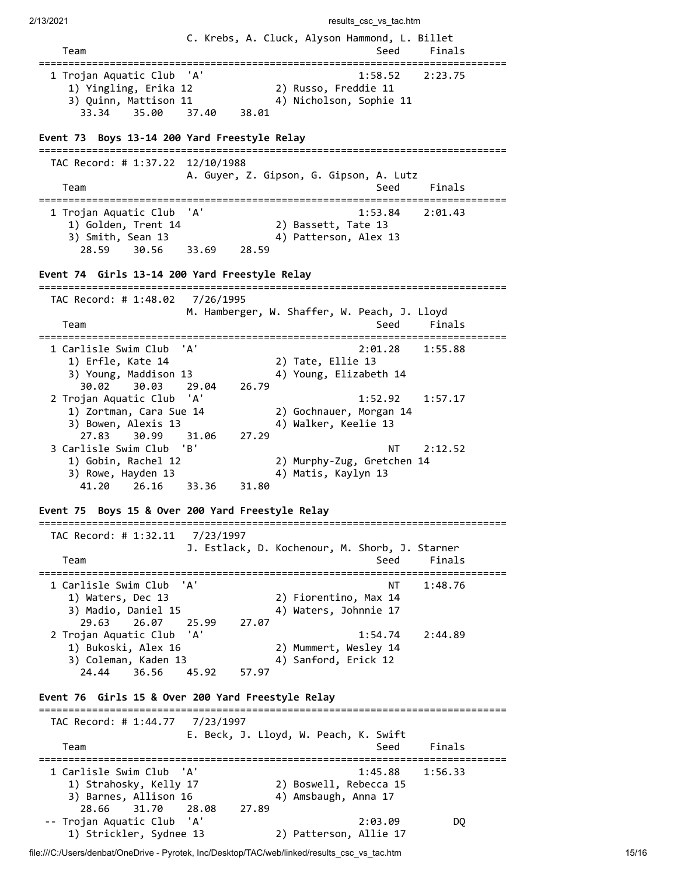| 2/13/2021                                                                                                               |                                         | results_csc_vs_tac.htm                                       |                         |
|-------------------------------------------------------------------------------------------------------------------------|-----------------------------------------|--------------------------------------------------------------|-------------------------|
| Team<br>==========================                                                                                      | ===========                             | C. Krebs, A. Cluck, Alyson Hammond, L. Billet<br>Seed        | Finals<br>:============ |
| 1 Trojan Aquatic Club<br>1) Yingling, Erika 12<br>3) Quinn, Mattison 11<br>33.34<br>35.00                               | 'A'<br>37.40<br>38.01                   | 1:58.52<br>2) Russo, Freddie 11<br>4) Nicholson, Sophie 11   | 2:23.75                 |
| Event 73 Boys 13-14 200 Yard Freestyle Relay                                                                            |                                         |                                                              |                         |
| TAC Record: # 1:37.22 12/10/1988<br>Team                                                                                |                                         | A. Guyer, Z. Gipson, G. Gipson, A. Lutz<br>Seed              | Finals                  |
| ================================<br>1 Trojan Aquatic Club<br>1) Golden, Trent 14<br>3) Smith, Sean 13<br>30.56<br>28.59 | 'A'<br>28.59<br>33.69                   | 1:53.84<br>2) Bassett, Tate 13<br>4) Patterson, Alex 13      | 2:01.43                 |
| Event 74 Girls 13-14 200 Yard Freestyle Relay                                                                           |                                         |                                                              |                         |
| TAC Record: # 1:48.02<br>Team                                                                                           | 7/26/1995                               | M. Hamberger, W. Shaffer, W. Peach, J. Lloyd<br>Seed         | Finals                  |
| ========================<br>1 Carlisle Swim Club<br>1) Erfle, Kate 14<br>3) Young, Maddison 13<br>30.02<br>30.03        | 'A'<br>29.04<br>26.79                   | 2:01.28<br>2) Tate, Ellie 13<br>4) Young, Elizabeth 14       | 1:55.88                 |
| 2 Trojan Aquatic Club<br>1) Zortman, Cara Sue 14<br>3) Bowen, Alexis 13<br>27.83<br>30.99                               | 'A'<br>27.29<br>31.06                   | 1:52.92<br>2) Gochnauer, Morgan 14<br>4) Walker, Keelie 13   | 1:57.17                 |
| 3 Carlisle Swim Club<br>1) Gobin, Rachel 12<br>3) Rowe, Hayden 13<br>41.20<br>26.16                                     | 'B'<br>33.36<br>31.80                   | NΤ<br>2) Murphy-Zug, Gretchen 14<br>4) Matis, Kaylyn 13      | 2:12.52                 |
| Event 75                                                                                                                | Boys 15 & Over 200 Yard Freestyle Relay |                                                              |                         |
| =======================<br>TAC Record: # 1:32.11                                                                        | 7/23/1997                               | J. Estlack, D. Kochenour, M. Shorb, J. Starner               |                         |
| Team<br>=========================                                                                                       | =============                           | Seed<br>---------                                            | Finals<br>============= |
| 1 Carlisle Swim Club<br>1) Waters, Dec 13<br>3) Madio, Daniel 15<br>29.63<br>26.07                                      | ' A '<br>25.99<br>27.07                 | NΤ<br>2) Fiorentino, Max 14<br>4) Waters, Johnnie 17         | 1:48.76                 |
| 2 Trojan Aquatic Club<br>1) Bukoski, Alex 16<br>3) Coleman, Kaden 13<br>24.44<br>36.56                                  | 'A'<br>45.92<br>57.97                   | 1:54.74<br>2) Mummert, Wesley 14<br>4) Sanford, Erick 12     | 2:44.89                 |
| Event 76 Girls 15 & Over 200 Yard Freestyle Relay                                                                       |                                         |                                                              |                         |
| =============================<br>TAC Record: # 1:44.77                                                                  | 7/23/1997                               |                                                              |                         |
| Team<br>========================                                                                                        |                                         | E. Beck, J. Lloyd, W. Peach, K. Swift<br>Seed<br>----------- | Finals<br>============  |
| 1 Carlisle Swim Club<br>1) Strahosky, Kelly 17<br>3) Barnes, Allison 16                                                 | 'A'                                     | 1:45.88<br>2) Boswell, Rebecca 15<br>4) Amsbaugh, Anna 17    | 1:56.33                 |
| 28.66<br>31.70<br>Trojan Aquatic Club<br>1) Strickler, Sydnee 13                                                        | 27.89<br>28.08<br>'A'                   | 2:03.09<br>2) Patterson, Allie 17                            | DQ                      |